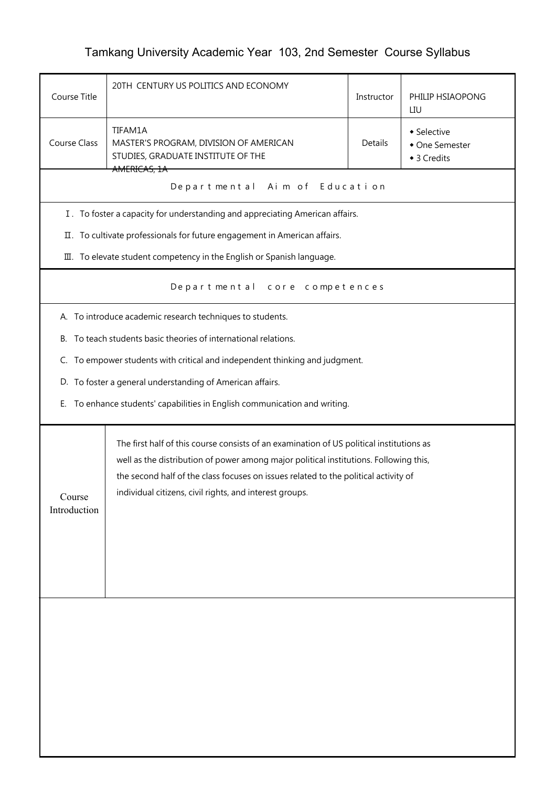## Tamkang University Academic Year 103, 2nd Semester Course Syllabus

| Course Title                                                                                                                                                                                                                                                                                                                                                  | 20TH CENTURY US POLITICS AND ECONOMY                                         |         | PHILIP HSIAOPONG<br>LIU                      |  |  |
|---------------------------------------------------------------------------------------------------------------------------------------------------------------------------------------------------------------------------------------------------------------------------------------------------------------------------------------------------------------|------------------------------------------------------------------------------|---------|----------------------------------------------|--|--|
| TIFAM1A<br>Course Class<br>MASTER'S PROGRAM, DIVISION OF AMERICAN<br>STUDIES, GRADUATE INSTITUTE OF THE                                                                                                                                                                                                                                                       |                                                                              | Details | • Selective<br>• One Semester<br>◆ 3 Credits |  |  |
|                                                                                                                                                                                                                                                                                                                                                               | AMERICAS, 1A<br>Aim of Education<br>Departmental                             |         |                                              |  |  |
|                                                                                                                                                                                                                                                                                                                                                               | I. To foster a capacity for understanding and appreciating American affairs. |         |                                              |  |  |
|                                                                                                                                                                                                                                                                                                                                                               | II. To cultivate professionals for future engagement in American affairs.    |         |                                              |  |  |
|                                                                                                                                                                                                                                                                                                                                                               | III. To elevate student competency in the English or Spanish language.       |         |                                              |  |  |
|                                                                                                                                                                                                                                                                                                                                                               | Departmental<br>core competences                                             |         |                                              |  |  |
|                                                                                                                                                                                                                                                                                                                                                               | A. To introduce academic research techniques to students.                    |         |                                              |  |  |
|                                                                                                                                                                                                                                                                                                                                                               | B. To teach students basic theories of international relations.              |         |                                              |  |  |
|                                                                                                                                                                                                                                                                                                                                                               | C. To empower students with critical and independent thinking and judgment.  |         |                                              |  |  |
|                                                                                                                                                                                                                                                                                                                                                               | D. To foster a general understanding of American affairs.                    |         |                                              |  |  |
| Е.                                                                                                                                                                                                                                                                                                                                                            | To enhance students' capabilities in English communication and writing.      |         |                                              |  |  |
| The first half of this course consists of an examination of US political institutions as<br>well as the distribution of power among major political institutions. Following this,<br>the second half of the class focuses on issues related to the political activity of<br>individual citizens, civil rights, and interest groups.<br>Course<br>Introduction |                                                                              |         |                                              |  |  |
|                                                                                                                                                                                                                                                                                                                                                               |                                                                              |         |                                              |  |  |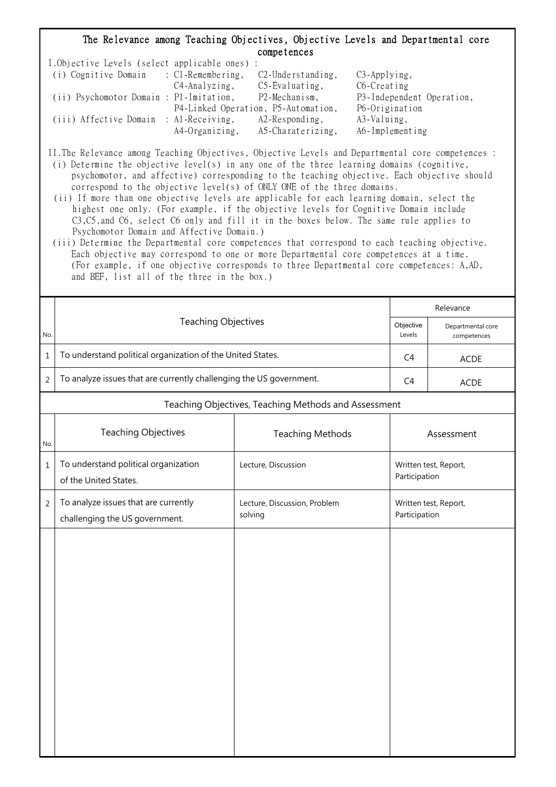## The Relevance among Teaching Objectives, Objective Levels and Departmental core competences

| I.Objective Levels (select applicable ones) : |                |                                     |                           |
|-----------------------------------------------|----------------|-------------------------------------|---------------------------|
| (i) Cognitive Domain : C1-Remembering,        |                | $C2$ -Understanding,                | $C3$ -Applying,           |
|                                               | C4-Analyzing,  | $C5$ -Evaluating,                   | C6-Creating               |
| (ii) Psychomotor Domain : P1-Imitation,       |                | P2-Mechanism,                       | P3-Independent Operation, |
|                                               |                | P4-Linked Operation, P5-Automation, | P6-Origination            |
| (iii) Affective Domain : Al-Receiving,        |                | $A2$ -Responding,                   | A3-Valuing,               |
|                                               | A4-Organizing, | A5-Charaterizing,                   | A6-Implementing           |

II.The Relevance among Teaching Objectives, Objective Levels and Departmental core competences :

- (i) Determine the objective level(s) in any one of the three learning domains (cognitive, psychomotor, and affective) corresponding to the teaching objective. Each objective should correspond to the objective level(s) of ONLY ONE of the three domains.
- (ii) If more than one objective levels are applicable for each learning domain, select the highest one only. (For example, if the objective levels for Cognitive Domain include C3,C5,and C6, select C6 only and fill it in the boxes below. The same rule applies to Psychomotor Domain and Affective Domain.)
- (iii) Determine the Departmental core competences that correspond to each teaching objective. Each objective may correspond to one or more Departmental core competences at a time. (For example, if one objective corresponds to three Departmental core competences: A,AD, and BEF, list all of the three in the box.)

|                |                                                                        | Relevance                                            |               |                                  |
|----------------|------------------------------------------------------------------------|------------------------------------------------------|---------------|----------------------------------|
| No.            | <b>Teaching Objectives</b>                                             |                                                      |               | Departmental core<br>competences |
| $\mathbf{1}$   | To understand political organization of the United States.             |                                                      |               | <b>ACDE</b>                      |
| $\overline{2}$ | To analyze issues that are currently challenging the US government.    |                                                      |               | ACDE                             |
|                |                                                                        | Teaching Objectives, Teaching Methods and Assessment |               |                                  |
| No.            | <b>Teaching Objectives</b><br><b>Teaching Methods</b>                  |                                                      |               | Assessment                       |
| $1\,$          | To understand political organization<br>of the United States.          | Lecture, Discussion                                  | Participation | Written test, Report,            |
| $\overline{2}$ | To analyze issues that are currently<br>challenging the US government. | Lecture, Discussion, Problem<br>solving              | Participation | Written test, Report,            |
|                |                                                                        |                                                      |               |                                  |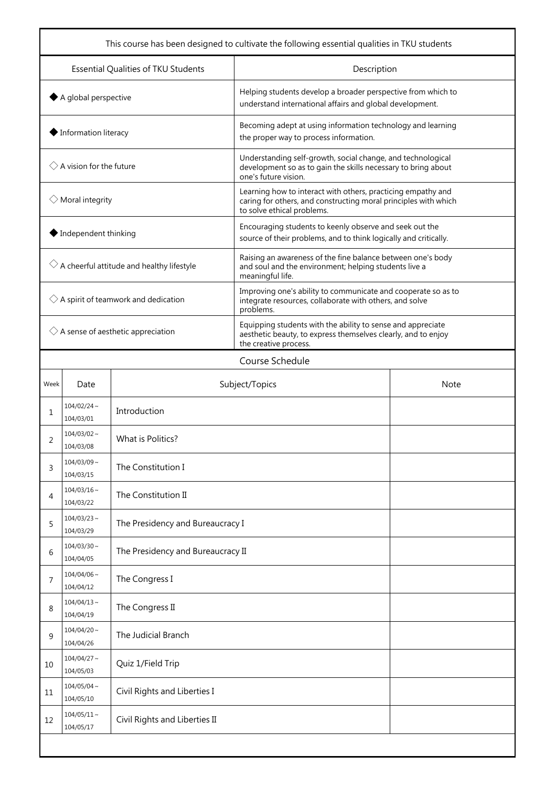| This course has been designed to cultivate the following essential qualities in TKU students |                                                                |                                                      |                                                                                                                                                               |             |  |
|----------------------------------------------------------------------------------------------|----------------------------------------------------------------|------------------------------------------------------|---------------------------------------------------------------------------------------------------------------------------------------------------------------|-------------|--|
| Essential Qualities of TKU Students                                                          |                                                                |                                                      | Description                                                                                                                                                   |             |  |
| $\blacklozenge$ A global perspective                                                         |                                                                |                                                      | Helping students develop a broader perspective from which to<br>understand international affairs and global development.                                      |             |  |
|                                                                                              | ◆ Information literacy                                         |                                                      | Becoming adept at using information technology and learning<br>the proper way to process information.                                                         |             |  |
|                                                                                              | $\Diamond$ A vision for the future                             |                                                      | Understanding self-growth, social change, and technological<br>development so as to gain the skills necessary to bring about<br>one's future vision.          |             |  |
|                                                                                              | $\Diamond$ Moral integrity                                     |                                                      | Learning how to interact with others, practicing empathy and<br>caring for others, and constructing moral principles with which<br>to solve ethical problems. |             |  |
|                                                                                              | ◆ Independent thinking                                         |                                                      | Encouraging students to keenly observe and seek out the<br>source of their problems, and to think logically and critically.                                   |             |  |
|                                                                                              |                                                                | $\Diamond$ A cheerful attitude and healthy lifestyle | Raising an awareness of the fine balance between one's body<br>and soul and the environment; helping students live a<br>meaningful life.                      |             |  |
|                                                                                              |                                                                | $\Diamond$ A spirit of teamwork and dedication       | Improving one's ability to communicate and cooperate so as to<br>integrate resources, collaborate with others, and solve<br>problems.                         |             |  |
| $\Diamond$ A sense of aesthetic appreciation                                                 |                                                                |                                                      | Equipping students with the ability to sense and appreciate<br>aesthetic beauty, to express themselves clearly, and to enjoy<br>the creative process.         |             |  |
|                                                                                              |                                                                |                                                      | Course Schedule                                                                                                                                               |             |  |
| Week                                                                                         | Date                                                           |                                                      | Subject/Topics                                                                                                                                                | <b>Note</b> |  |
| 1                                                                                            | $104/02/24$ ~<br>104/03/01                                     | Introduction                                         |                                                                                                                                                               |             |  |
| 2                                                                                            | $104/03/02 \sim$<br>104/03/08                                  | What is Politics?                                    |                                                                                                                                                               |             |  |
| 3                                                                                            | $104/03/09$ ~<br>104/03/15                                     | The Constitution I                                   |                                                                                                                                                               |             |  |
| 4                                                                                            | $104/03/16 \sim$<br>104/03/22                                  | The Constitution II                                  |                                                                                                                                                               |             |  |
| 5                                                                                            | $104/03/23$ ~<br>104/03/29                                     | The Presidency and Bureaucracy I                     |                                                                                                                                                               |             |  |
| 6                                                                                            | $104/03/30 \sim$<br>104/04/05                                  | The Presidency and Bureaucracy II                    |                                                                                                                                                               |             |  |
| 7                                                                                            | $104/04/06$ ~<br>104/04/12                                     | The Congress I                                       |                                                                                                                                                               |             |  |
| 8                                                                                            | $104/04/13 \sim$<br>104/04/19                                  | The Congress II                                      |                                                                                                                                                               |             |  |
| 9                                                                                            | $104/04/20$ ~<br>104/04/26                                     | The Judicial Branch                                  |                                                                                                                                                               |             |  |
| 10                                                                                           | $104/04/27$ ~<br>104/05/03                                     | Quiz 1/Field Trip                                    |                                                                                                                                                               |             |  |
| 11                                                                                           | $104/05/04$ ~<br>104/05/10                                     | Civil Rights and Liberties I                         |                                                                                                                                                               |             |  |
| 12                                                                                           | $104/05/11 \sim$<br>Civil Rights and Liberties II<br>104/05/17 |                                                      |                                                                                                                                                               |             |  |
|                                                                                              |                                                                |                                                      |                                                                                                                                                               |             |  |